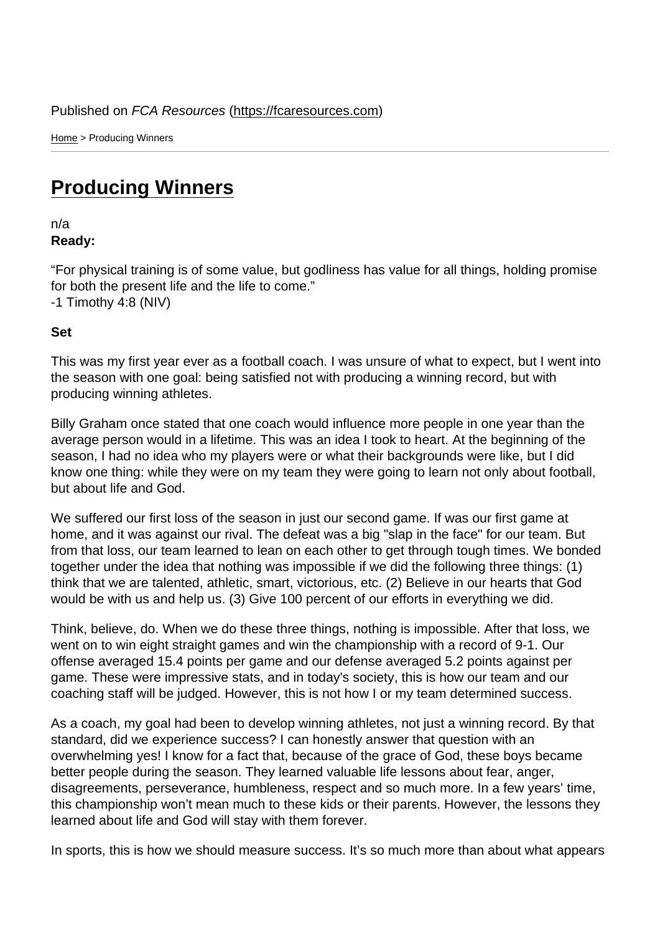Home > Producing Winners

## [Pro](https://fcaresources.com/)ducing Winners

n/a [Ready:](https://fcaresources.com/devotional/producing-winners) 

"For physical training is of some value, but godliness has value for all things, holding promise for both the present life and the life to come." -1 Timothy 4:8 (NIV)

Set

This was my first year ever as a football coach. I was unsure of what to expect, but I went into the season with one goal: being satisfied not with producing a winning record, but with producing winning athletes.

Billy Graham once stated that one coach would influence more people in one year than the average person would in a lifetime. This was an idea I took to heart. At the beginning of the season, I had no idea who my players were or what their backgrounds were like, but I did know one thing: while they were on my team they were going to learn not only about football, but about life and God.

We suffered our first loss of the season in just our second game. If was our first game at home, and it was against our rival. The defeat was a big "slap in the face" for our team. But from that loss, our team learned to lean on each other to get through tough times. We bonded together under the idea that nothing was impossible if we did the following three things: (1) think that we are talented, athletic, smart, victorious, etc. (2) Believe in our hearts that God would be with us and help us. (3) Give 100 percent of our efforts in everything we did.

Think, believe, do. When we do these three things, nothing is impossible. After that loss, we went on to win eight straight games and win the championship with a record of 9-1. Our offense averaged 15.4 points per game and our defense averaged 5.2 points against per game. These were impressive stats, and in today's society, this is how our team and our coaching staff will be judged. However, this is not how I or my team determined success.

As a coach, my goal had been to develop winning athletes, not just a winning record. By that standard, did we experience success? I can honestly answer that question with an overwhelming yes! I know for a fact that, because of the grace of God, these boys became better people during the season. They learned valuable life lessons about fear, anger, disagreements, perseverance, humbleness, respect and so much more. In a few years' time, this championship won't mean much to these kids or their parents. However, the lessons they learned about life and God will stay with them forever.

In sports, this is how we should measure success. It's so much more than about what appears